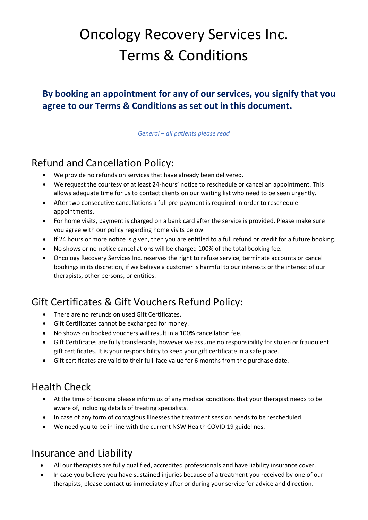# Oncology Recovery Services Inc. Terms & Conditions

#### **By booking an appointment for any of our services, you signify that you agree to our Terms & Conditions as set out in this document.**

*General – all patients please read*

# Refund and Cancellation Policy:

- We provide no refunds on services that have already been delivered.
- We request the courtesy of at least 24-hours' notice to reschedule or cancel an appointment. This allows adequate time for us to contact clients on our waiting list who need to be seen urgently.
- After two consecutive cancellations a full pre-payment is required in order to reschedule appointments.
- For home visits, payment is charged on a bank card after the service is provided. Please make sure you agree with our policy regarding home visits below.
- If 24 hours or more notice is given, then you are entitled to a full refund or credit for a future booking.
- No shows or no-notice cancellations will be charged 100% of the total booking fee.
- Oncology Recovery Services Inc. reserves the right to refuse service, terminate accounts or cancel bookings in its discretion, if we believe a customer is harmful to our interests or the interest of our therapists, other persons, or entities.

### Gift Certificates & Gift Vouchers Refund Policy:

- There are no refunds on used Gift Certificates.
- Gift Certificates cannot be exchanged for money.
- No shows on booked vouchers will result in a 100% cancellation fee.
- Gift Certificates are fully transferable, however we assume no responsibility for stolen or fraudulent gift certificates. It is your responsibility to keep your gift certificate in a safe place.
- Gift certificates are valid to their full-face value for 6 months from the purchase date.

### Health Check

- At the time of booking please inform us of any medical conditions that your therapist needs to be aware of, including details of treating specialists.
- In case of any form of contagious illnesses the treatment session needs to be rescheduled.
- We need you to be in line with the current NSW Health COVID 19 guidelines.

#### Insurance and Liability

- All our therapists are fully qualified, accredited professionals and have liability insurance cover.
- In case you believe you have sustained injuries because of a treatment you received by one of our therapists, please contact us immediately after or during your service for advice and direction.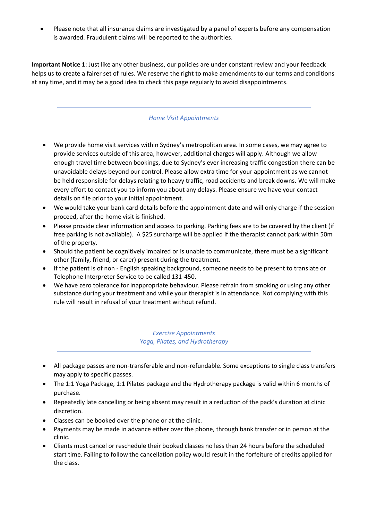• Please note that all insurance claims are investigated by a panel of experts before any compensation is awarded. Fraudulent claims will be reported to the authorities.

**Important Notice 1**: Just like any other business, our policies are under constant review and your feedback helps us to create a fairer set of rules. We reserve the right to make amendments to our terms and conditions at any time, and it may be a good idea to check this page regularly to avoid disappointments.

#### *Home Visit Appointments*

- We provide home visit services within Sydney's metropolitan area. In some cases, we may agree to provide services outside of this area, however, additional charges will apply. Although we allow enough travel time between bookings, due to Sydney's ever increasing traffic congestion there can be unavoidable delays beyond our control. Please allow extra time for your appointment as we cannot be held responsible for delays relating to heavy traffic, road accidents and break downs. We will make every effort to contact you to inform you about any delays. Please ensure we have your contact details on file prior to your initial appointment.
- We would take your bank card details before the appointment date and will only charge if the session proceed, after the home visit is finished.
- Please provide clear information and access to parking. Parking fees are to be covered by the client (if free parking is not available). A \$25 surcharge will be applied if the therapist cannot park within 50m of the property.
- Should the patient be cognitively impaired or is unable to communicate, there must be a significant other (family, friend, or carer) present during the treatment.
- If the patient is of non English speaking background, someone needs to be present to translate or Telephone Interpreter Service to be called 131-450.
- We have zero tolerance for inappropriate behaviour. Please refrain from smoking or using any other substance during your treatment and while your therapist is in attendance. Not complying with this rule will result in refusal of your treatment without refund.

#### *Exercise Appointments Yoga, Pilates, and Hydrotherapy*

- All package passes are non-transferable and non-refundable. Some exceptions to single class transfers may apply to specific passes.
- The 1:1 Yoga Package, 1:1 Pilates package and the Hydrotherapy package is valid within 6 months of purchase.
- Repeatedly late cancelling or being absent may result in a reduction of the pack's duration at clinic discretion.
- Classes can be booked over the phone or at the clinic.
- Payments may be made in advance either over the phone, through bank transfer or in person at the clinic.
- Clients must cancel or reschedule their booked classes no less than 24 hours before the scheduled start time. Failing to follow the cancellation policy would result in the forfeiture of credits applied for the class.